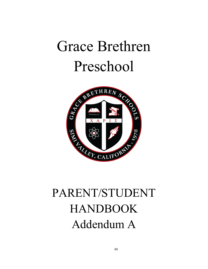# Grace Brethren Preschool



# PARENT/STUDENT HANDBOOK Addendum A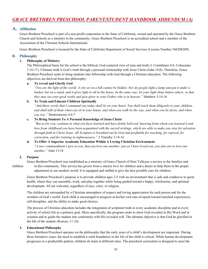# A. Affiliation

Grace Brethren Preschool is part of a non-profit corporation in the State of California, owned and operated by the Grace Brethren Church and Schools as a ministry to the community. Grace Brethren Preschool is an accredited school and a member of the Association of the Christian Schools International.

Grace Brethren Preschool is licensed by the State of California Department of Social Services (License Number 566208209).

### B. Philosophy

### 1. Philosophy of Ministry

 The Philosophical basis for the school is the biblical, God-centered view of man and truth (1 Corinthians 8:6; Colossians 1:16-17). Ultimate truth is God's truth through a personal relationship with Jesus Christ (John 14:6). Therefore, Grace Brethren Preschool seeks to bring students into fellowship with God through a Christian education. The following objectives are derived from this philosophy:

#### a. To reveal and Glorify God

 "You are the light of the world. A city set on a hill cannot be hidden. Nor do people light a lamp and put it under a basket, but on a stand, and it gives light to all in the house. In the same way, let your light shine before others, so that they may see your good works and give glory to your Father who is in heaven." Matthew 5:14-16

#### b. To Train and Educate Children Spiritually

 "And these words that I command you today shall be on your heart. You shall teach them diligently to your children, and shall talk of them when you sit in your house, and when you walk by the way, and when you lie down, and when you rise." Deuteronomy 6:6-7

#### c. To Bring Students To A Personal Knowledge of Jesus Christ

 "But as for you, continue in what you have learned and have firmly believed, knowing from whom you learned it and how from childhood you have been acquainted with the sacred writings, which are able to make you wise for salvation through faith in Christ Jesus. All Scripture is breathed out by God and profitable for teaching, for reproof, for correction, and for training in righteousness." 2 Timothy 3:14-16

#### d. To Offer A Superior Academic Education Within A Loving Christian Environment

 "A new commandment I give to you, that you love one another: just as I have loved you, you also are to love one another." John 13:34

### 2. Purpose

 Grace Brethren Preschool was established as a ministry of Grace Church of Simi Valleyas a service to the families and children in this community. This service has grown from a sincere love for children and a desire to help them in the proper adjustment to our modern world. It is equipped and staffed to give the best possible care for children.

 Grace Brethren Preschool's purpose is to provide children ages 2-5 with an environment that is safe and conducive to good health, where they can assemble, work, and play together while being guided toward a happy, wholesome, and spiritual development. All are welcome, regardless of race, color, or religion.

 The children are surrounded by a Christian atmosphere of respect and loving appreciation for each person and for the wonders of God's world. Each child is encouraged to progress at his/her own rate-of-speed toward enriched experiences, self-discipline, and the ability to make good choices.

 The process of Christian education includes the integration of scriptural truth in every academic discipline and in every activity of school life as a primary goal. More specifically, the program seeks to show God revealed in His Word and in creation and to guide the student into conformity with His revealed will. The ultimate objective is that God be glorified in the life of the student (Romans 11:36).

### 3. Educational Philosophy

 Grace Brethren Preschool operates on the philosophy that the early years of a child's development are important. During these formative years, the need to establish a solid foundation in the life of the child is critical. While human development progresses in a predictable pattern, children do learn at different rates. The preschool curriculum is designed to meet the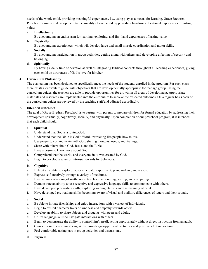needs of the whole child, providing meaningful experiences, i.e., using play as a means for learning. Grace Brethren Preschool's aim is to develop the total personality of each child by providing hands-on educational experiences of lasting value:

#### a. Intellectually

By encouraging an enthusiasm for learning, exploring, and first-hand experiences of lasting value.

#### b. Physically

By encouraging experiences, which will develop large and small muscle coordination and motor skills.

c. Socially

 By encouraging participation in group activities, getting along with others, and developing a feeling of security and belonging.

#### d. Spiritually

 By having a daily time of devotion as well as integrating Biblical concepts throughout all learning experiences, giving each child an awareness of God's love for him/her.

#### 4. Curriculum Philosophy

 The curriculum has been designed to specifically meet the needs of the students enrolled in the program. For each class there exists a curriculum guide with objectives that are developmentally appropriate for that age group. Using the curriculum guides, the teachers are able to provide opportunities for growth in all areas of development. Appropriate materials and resources are implemented into the curriculum to achieve the expected outcomes. On a regular basis each of the curriculum guides are reviewed by the teaching staff and adjusted accordingly.

#### 5. Intended Outcomes

 The goal of Grace Brethren Preschool is to partner with parents to prepare children for formal education by addressing their development spiritually, cognitively, socially, and physically. Upon completion of our preschool program, it is intended that each child should:

#### a. Spiritual

- a. Understand that God is a loving God.
- b. Understand that the Bible is God's Word, instructing His people how to live.
- c. Use prayer to communicate with God, sharing thoughts, needs, and feelings.
- d. Share with others about God, Jesus, and the Bible.
- e. Have a desire to know more about God.
- f. Comprehend that the world, and everyone in it, was created by God.
- g. Begin to develop a sense of intrinsic rewards for behaviors.

#### b. Cognitive

- a. Exhibit an ability to explore, observe, create, experiment, plan, analyze, and reason.
- b. Express self creatively through a variety of mediums.
- c. Have an understanding of math concepts related to counting, sorting, and comparing.
- d. Demonstrate an ability to use receptive and expressive language skills to communicate with others.
- e. Have developed pre-writing skills, exploring writing utensils and the meaning of print.
- f. Have developed pre-reading skills, becoming aware of visual and auditory differences of letters and their sounds.

#### c. Social

- a. Be able to initiate friendships and enjoy interactions with a variety of individuals.
- b. Begin to exhibit character traits of kindness and empathy towards others.
- c. Develop an ability to share objects and thoughts with peers and adults.
- d. Utilize language skills to navigate interactions with others.
- e. Begin to demonstrate the ability to control him/herself, acting appropriately without direct instruction from an adult.
- f. Gain self-confidence, mastering skills through age-appropriate activities and positive adult interaction.
- g. Feel comfortable taking part in group activities and discussions.

#### d. Physical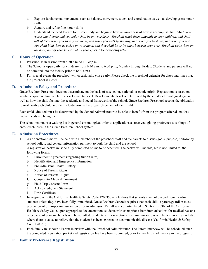- a. Explore fundamental movements such as balance, movement, touch, and coordination as well as develop gross motor skills.
- b. Acquire and refine fine motor skills.
- c. Understand the need to care for his/her body and begin to have an awareness of how to accomplish that. "And these words that I command you today shall be on your heart. You shall teach them diligently to your children, and shall talk of them when you sit in your house, and when you walk by the way, and when you lie down, and when you rise. You shall bind them as a sign on your hand, and they shall be as frontlets between your eyes. You shall write them on the doorposts of your house and on your gates." Deuteronomy 6:6-9

### C. Hours of Operation

- 1. Preschool is in session from 8:30 a.m. to 12:30 p.m.
- 2. The School is open daily for childcare from 6:30 a.m. to 6:00 p.m., Monday through Friday. (Students and parents will not be admitted into the facility prior to 6:30 a.m.)
- 3. For special events the preschool will occasionally close early. Please check the preschool calendar for dates and times that the preschool is closed.

# D. Admission Policy and Procedure

Grace Brethren Preschool does not discriminate on the basis of race, color, national, or ethnic origin. Registration is based on available space within the child's developmental level. Developmental level is determined by the child's chronological age as well as how the child fits into the academic and social framework of the school. Grace Brethren Preschool accepts the obligation to work with each child and family to determine the proper placement of each child.

 Each child admitted must be determined by the School Administrator to be able to benefit from the program offered and that his/her needs are being met.

 The school maintains a waiting list in general chronological order to applications as received, giving preference to siblings of enrolled children in the Grace Brethren School system.

### E. Admission Procedures

- 1. An orientation time will be held with a member of the preschool staff and the parents to discuss goals, purpose, philosophy, school policy, and general information pertinent to both the child and the school.
- 2. A registration packet must be fully completed online to be accepted. The packet will include, but is not limited to, the following forms:
	- a. Enrollment Agreement (regarding tuition rates)
	- b. Identification and Emergency Information
	- c. Pre-Admission Health History
	- d. Notice of Parents Rights
	- e. Notice of Personal Rights
	- f. Consent for Medical Treatment
	- g. Field Trip Consent Form
	- h. Acknowledgment Statement
	- i. Birth Certificate
- 3. In keeping with the California Health & Safety Code 120335, which states that schools may not unconditionally admit students unless they have been fully immunized, Grace Brethren Schools requires that each child's parent/guardian must present proof of proper immunization prior to admission. Per allowances articulated in Section 120365 of the California Health & Safety Code, upon appropriate documentation, students with exemptions from immunizations for medical reasons or because of personal beliefs will be admitted. Students with exemptions from immunizations will be temporarily excluded where there is cause to believe that the student has been exposed to a communicable disease (California Health & Safety Code 120365).
- 4. Each family must have a Parent Interview with the Preschool Administrator. The Parent Interview will be scheduled once the completed registration packet and registration fee have been submitted, prior to the child's admittance to the program.

# F. Family Preference Registration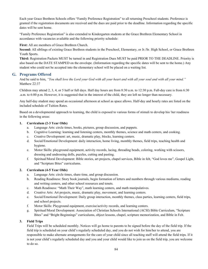Each year Grace Brethren Schools offers "Family Preference Registration" to all returning Preschool students. Preference is granted if the registration documents are received and the dues are paid prior to the deadline. Information regarding the specific dates will be sent home.

 "Family Preference Registration" is also extended to Kindergarten students at the Grace Brethren Elementary School in accordance with vacancies available and the following priority schedule:

First: All are members of Grace Brethren Church.

Second: All siblings of existing Grace Brethren students in the Preschool, Elementary, or Jr./Sr. High School, or Grace Brethren Youth Sports.

Third: Registration Packets MUST be turned in and Registration Dues MUST be paid PRIOR TO THE DEADLINE. Priority is also based on the DATE STAMPED on the envelope. (Information regarding the specific dates will be sent to the home.) Any student who could not be accepted into the elementary school will be placed on a waiting list.

# G. Programs Offered

And he said to him, "You shall love the Lord your God with all your heart and with all your soul and with all your mind." Matthew 22:37

 Children may attend 2, 3, 4, or 5 half or full days. Half day hours are from 8:30 a.m. to 12:30 p.m. Full-day care is from 6:30 .a.m. to 6:00 p.m. However, it is suggested that in the interest of the child, they are left no longer than necessary.

 Any half-day student may spend an occasional afternoon at school as space allows. Half-day and hourly rates are listed on the included schedule of Tuition Rates.

 Based on a developmental approach to learning, the child is exposed to various forms of stimuli to develop his/ her readiness in the following areas:

#### 1. Curriculum (2-3 Year Olds)

- a. Language Arts: circle times, books, pictures, group discussion, and puppets.
- b. Cognitive Learning: learning and listening centers, monthly themes, science and math centers, and cooking.
- c. Creative Development: art, music, dramatic play, blocks, learning centers.
- d. Social/Emotional Development: daily interaction, home living, monthly themes, field trips, teaching health and hygiene.
- e. Motor Skills: playground equipment, activity records, lacing, threading beads, coloring, working with scissors, dressing and undressing dolls, puzzles, cutting and pasting.
- f. Spiritual/Moral Development: Bible stories, art projects, chapel services, Bible in felt, "God loves me", Gospel Light, and "Scripture Bites" curriculums.

### 2. Curriculum (4-5 Year Olds)

- a. Language Arts: circle times, share time, and group discussion.
- b. Reading Readiness: Story book journals, begin formation of letters and numbers through various mediums, reading and writing centers, and other school resources and tenets.
- c. Math Readiness: "Math Their Way", math learning centers, and math manipulatives.
- d. Creative Arts: Art projects, music, dramatic play, movement, and learning centers.
- e. Social/Emotional Development: Daily group interaction, monthly themes, class parties, learning centers, field trips, and school projects.
- f. Motor Skills: Playground equipment, exercise/activity records, and learning centers.
- g. Spiritual/Moral Development: Association of Christian Schools International (ACSI) Bible Curriculum, "Scripture Bites" and "Bright Beginnings" curriculums, object lessons, chapel, scripture memorization, and Bible in Felt.

### 3. Field Trips

 Field Trips will be scheduled monthly. Notices will go home to parents to be signed before the day of the field trip. If the field trip is scheduled on your child's regularly scheduled day, and you do not wish for him/her to attend, you are responsible to make alternate arrangements for the care of your child since all teaching staff will attend the field trips. If it is not your child's regularly scheduled day and you and your child would like to join us on the field trip, you are welcome to do so.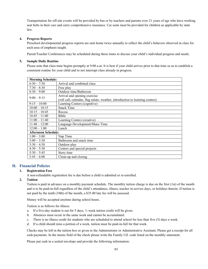Transportation for off-site events will be provided by bus or by teachers and parents over 21 years of age who have working seat belts in their cars and carry comprehensive insurance. Car seats must be provided for children as applicable by state law.

#### 4. Progress Reports

 Preschool developmental progress reports are sent home twice annually to reflect the child's behavior observed in class for each area of emphasis taught.

Parent/Teacher Conferences may be scheduled during these times to discuss your child's individual progress and needs.

#### 5. Sample Daily Routine

 Please note that class-time begins promptly at 9:00 a.m. It is best if your child arrives prior to that time so as to establish a consistent routine for your child and to not interrupt class already in progress.

| <b>Morning Schedule:</b>   |                                                                               |
|----------------------------|-------------------------------------------------------------------------------|
| $6:30 - 7:30$              | Arrival and combined class                                                    |
| $7:30 - 8:30$              | Free play                                                                     |
| $8:30 - 9:00$              | Outdoor time/Bathroom                                                         |
| $9:00 - 9:15$              | Arrival and opening exercise                                                  |
|                            | (roll call, calendar, flag salute, weather, introduction to learning centers) |
| $9:15-10:00$               | Learning Centers (cognitive)                                                  |
| $10:00 - 10:15$            | <b>Snack Time</b>                                                             |
| $10:15 - 10:45$            | Recess                                                                        |
| $10:45 - 11:00$            | Bible                                                                         |
| $11:00 - 11:40$            | Learning Centers (creative)                                                   |
| $11:40 - 12:00$            | Language Development/Share Time                                               |
| $12:00 - 1:00$             | Lunch                                                                         |
| <b>Afternoon Schedule:</b> |                                                                               |
| $1:00 - 3:00$              | Nap Time                                                                      |
| $3:00 - 3:30$              | Bathroom and snack time                                                       |
| $3:30 - 4:30$              | Outdoor play                                                                  |
| $4:30 - 5:30$              | Centers and special projects                                                  |
| $5:30 - 5:45$              | Story time                                                                    |
| $5:45 - 6:00$              | Clean-up and closing                                                          |

### H. Financial Policies

#### 1. Registration Fees

A non-refundable registration fee is due before a child is admitted or re-enrolled.

#### 2. Tuition

 Tuition is paid in advance on a monthly payment schedule. The monthly tuition charge is due on the first (1st) of the month and is to be paid-in-full regardless of the child's attendance, illness, teacher in-service days, or holidays therein. If tuition is not paid by the tenth (10th) of the month, a \$35.00 late fee will be assessed.

Money will be accepted anytime during school hours.

Tuition is as follows for illness:

- a. If a five-day student is out for 5 days,  $\frac{1}{2}$  week tuition credit will be given.
- b. Absences must occur in the same week and cannot be accumulated.
- c. There is no illness credit for students who are scheduled to attend school for less than five (5) days a week.
- d. If a child should miss a portion of a week, tuition must be paid-in-full for that week.

 Checks may be left in the tuition box or given to the Administrator or Administrative Assistant. Please get a receipt for all cash payments. In the memo field of the check please write the Family I.D. code listed on the monthly statement.

Please put cash in a sealed envelope and provide the following information: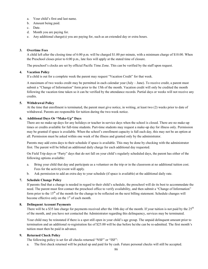- a. Your child's first and last name.
- b. Amount being paid.
- c. Date.
- d. Month you are paying for.
- e. Any additional charge(s) you are paying for, such as an extended day or extra hours.

#### 3. Overtime Fees

 A child left after the closing time of 6:00 p.m. will be charged \$1.00 per minute, with a minimum charge of \$10.00. When the Preschool closes prior to 6:00 p.m., late fees will apply at the stated time of closure.

The preschool's clocks are set by official Pacific Time Zone. This can be verified by the staff upon request.

#### 4. Vacation Policy

If a child is out for a complete week the parent may request "Vacation Credit" for that week.

 A maximum of two weeks credit may be permitted in each calendar year (July – June). To receive credit, a parent must submit a "Change of Information" form prior to the 15th of the month. Vacation credit will only be credited the month following the vacation time taken so it can be verified by the attendance records. Partial days or weeks will not receive any credits.

#### 5. Withdrawal Policy

 At the time that enrollment is terminated, the parent must give notice, in writing, at least two (2) weeks prior to date of withdrawal. Parents are responsible for tuition during the two-week notice.

#### 6. Additional Days Or "Make-Up" Days

 There are no make-up days for any holidays or teacher in-service days when the school is closed. There are no make-up times or credits available for full-time students. Part-time students may request a make-up day for illness only. Permission may be granted if space is available. When the school's enrollment capacity is full each day, this may not be an option at all. Permission must be asked within one week of the illness and granted only by the administrator.

 Parents may add extra days to their schedule if space is available. This may be done by checking with the administrator first. The parent will be billed an additional daily charge for each additional day requested.

 On Field Trip days or "Party" days that do not fall on your child's regularly scheduled days, the parent has either of the following options available:

- a. Bring your child that day and participate as a volunteer on the trip or in the classroom at no additional tuition cost. Fees for the activity/event will apply.
- b. Ask permission to add an extra day to your schedule (if space is available) at the additional daily rate.

#### 7. Schedule Change Policy

 If parents find that a change is needed in regard to their child's schedule, the preschool will do its best to accommodate the need. The parent must first contact the preschool office to verify availability, and then submit a "Change of Information" form prior to the  $15<sup>th</sup>$  of the month for the change to be reflected on the next billing statement. Schedule changes will become effective only on the  $1<sup>st</sup>$  of each month.

#### 8. Delinquent Account Payments

There will be a \$35 late charge for payments received after the 10th day of the month. If your tuition is not paid by the  $25<sup>th</sup>$ of the month, and you have not contacted the Administrator regarding this delinquency, services may be terminated.

 Your child may be reinstated if there is a spot still open in your child's age group. The unpaid delinquent amount prior to termination and an additional re-registration fee of \$25.00 will be due before he/she can be re-admitted. The first month's tuition must then be paid in advance.

#### 9. Returned Check Policy

The following policy is set for all checks returned "NSF" or "ISF":

a. The first check returned will be picked up and paid for by cash. Future personal checks will still be accepted.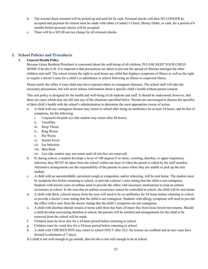- b. The second check returned will be picked up and paid for by cash. Personal checks will then NO LONGER be accepted and payment for tuition must be made with either a Cashier's Check, Money Order, or cash, for a period of 6 months before personal checks will be accepted.
- c. There will be a \$25.00 service charge for all returned checks.

# I. School Policies and Procedures

#### 1. General Health Policy

 Because Grace Brethren Preschool is concerned about the well-being of all children, PLEASE KEEP YOUR CHILD HOME if he/she is ill. It is imperative that precautions are taken to prevent the spread of illnesses amongst the other children and staff. The school retains the right to send home any child that displays symptoms of illness as well as the right to require a doctor's note for a child's re-admittance to school following an illness or suspected illness.

 Please notify the office if your child may have exposed others to contagious illnesses. The school staff will take the necessary precautions, but will never release information about a specific child's health without parent consent.

 This sick policy is designed for the health and well-being of all students and staff. It should be understood, however, that there are cases which may not fall into any of the situations specified below. Parents are encouraged to discuss the specifics of their child's health with the school's administration to determine the most appropriate course of action.

- a. A child with any contagious disease may return to school after being on antibiotics for at least 24 hours, and be free of symptoms, for the following:
	- i. Conjunctivitis/pink eye (the student may return after 48 hours)
	- ii. Tonsillitis
	- iii. Strep Throat
	- iv. Ring Worm
	- v. Pin Worm
	- vi. Scarlet Fever
	- vii. Ear Infection
	- viii. Skin Rash
	- xiv. Lice (the student may not return until all nits/lice are removed)
- b. If, during school, a student develops a fever of 100 degrees F or more, vomiting, diarrhea, or upper respiratory infection, they MUST be taken from the school within one hour of when the parent is called by the staff member. Alternative arrangements are the responsibility of the parents in cases where they are unable to pick up the sick student.
- c. A child with an uncontrollable, persistent cough or congestion, and/or wheezing, will be sent home. The student must be symptom-free before returning to school, or provide a doctor's note stating that the child is not contagious. Students with known cases of asthma need to provide the office with necessary medications to treat an asthma occurrence at school. In the case that an asthma occurrence cannot be controlled at school, the child will be sent home.
- d. A child with thick, colored mucus from the nose will need to be on antibiotics for 24 hours before returning to school, or provide a doctor's note stating that the child is not contagious. Students with allergy symptoms will need to provide the office with a note from the doctor stating that the child's symptoms are not contagious.
- e. A child with diarrhea should remain at home until there has been 24 hours free from loose bowel movements. Should a child develop reoccurring diarrhea at school, the parents will be notified and arrangements for the child to be removed from the school will be made.
- f. Children must be fever free for a 24-hour period before returning to school.
- g. Children must be vomit free for a 24-hour period before returning to school.
- h. A child with CHICKEN POX may return to school ONLY after ALL the lesions are scabbed and no new ones have formed (a minimum of 7 days).

If a child is not well enough to go outside, then he/she is not well enough to be in school.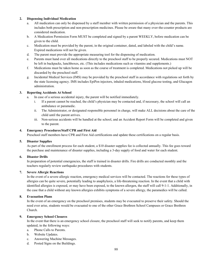#### 2. Dispensing Individual Medication

- a. All medication can only be dispensed by a staff member with written permission of a physician and the parents. This includes both prescription and non-prescription medicines. Please be aware that many over-the-counter products are considered medication.
- b. A Medication Permission Form MUST be completed and signed by a parent WEEKLY, before medication can be given to the child.
- c. Medication must be provided by the parent, in the original container, dated, and labeled with the child's name. Expired medications will not be given.
- d. The parent must provide the appropriate measuring tool for the dispensing of medication.
- e. Parents must hand over all medications directly to the preschool staff to be properly secured. Medications must NOT be left in backpacks, lunchboxes, etc. (This includes medications such as vitamins and supplements.)
- f. Medications must be taken home as soon as the course of treatment is completed. Medications not picked up will be discarded by the preschool staff.
- g. Incidental Medical Services (IMS) may be provided by the preschool staff in accordance with regulations set forth by the state licensing agency. IMS includes EpiPen injectors, inhaled medications, blood glucose testing, and Glucagon administration.

#### 3. Reporting Accidents At School

- a. In case of a serious accidental injury, the parent will be notified immediately.
	- i. If a parent cannot be reached, the child's physician may be contacted and, if necessary, the school will call an ambulance or paramedic.
	- ii. The Administrator, or designated responsible personnel in charge, will make ALL decisions about the care of the child until the parent arrives.
	- iii. Non-serious accidents will be handled at the school, and an Accident Report Form will be completed and given to the parent.

#### 4. Emergency Procedures/Staff CPR and First Aid

Preschool staff members have CPR and First Aid certifications and update these certifications on a regular basis.

#### 5. Disaster Supplies

 As part of the enrollment process for each student, a \$10 disaster supplies fee is collected annually. This fee goes toward the purchase and maintenance of disaster supplies, including a 3-day supply of food and water for each student.

#### 6. Disaster Drills

 In preparation of potential emergencies, the staff is trained in disaster drills. Fire drills are conducted monthly and the teachers regularly review earthquake procedures with students.

#### 7. Severe Allergic Reactions

 In the event of a severe allergic reaction, emergency medical services will be contacted. The reactions for these types of allergies can be quite severe, potentially leading to anaphylaxis, a life-threatening reaction. In the event that a child with identified allergies is exposed, or may have been exposed, to the known allergen, the staff will call 9-1-1. Additionally, in the case that a child without any known allergies exhibits symptoms of a severe allergy, the paramedics will be called.

### 8. Evacuation Plans

 In the event of an emergency on the preschool premises, students may be evacuated to preserve their safety. Should the need ever arise, students would be evacuated to one of the other Grace Brethren School Campuses or Grace Brethren Church.

#### 9. Emergency School Closures

 In the event that there is an emergency school closure, the preschool staff will seek to notify parents, and keep them updated, in the following ways:

- a. Phone Calls to Parents.
- b. Website Updates.
- c. Answering Machine Messages.
- d. Posted Signs on the Buildings.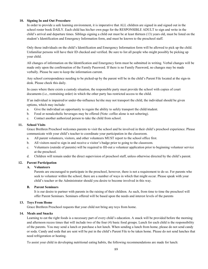#### 10. Signing In and Out Procedure

 In order to provide a safe learning environment, it is imperative that ALL children are signed in and signed out in the school roster book DAILY. Each child has his/her own page for the RESPONSIBLE ADULT to sign and write in the child's arrival and departure times. Siblings signing a child out must be at least thirteen (13) years old, must be listed on the student's Identification and Emergency Information form, and must be known to the preschool staff.

 Only those individuals on the child's Identification and Emergency Information form will be allowed to pick up the child. Unfamiliar persons will have their ID checked and verified. Be sure to list all people who might possibly be picking up your child.

 All changes of information on the Identification and Emergency form must be submitted in writing. Verbal changes will be made only upon the confirmation of the Family Password. If there is no Family Password, no changes may be made verbally. Please be sure to keep the information current.

 Any school correspondence needing to be picked-up by the parent will be in the child's Parent File located at the sign-in desk. Please check this daily.

 In cases where there exists a custody situation, the responsible party must provide the school with copies of court documents (i.e., restraining order) in which the other party has restricted access to the child.

 If an individual is impaired/or under-the-influence he/she may not transport the child, the individual should be given options, which may include:

- a. Give the individual an opportunity to regain the ability to safely transport the child/student.
- b. Food or nonalcoholic beverages may be offered (Note: coffee alone is not sobering).
- c. Contact another authorized person to take the child from school.

#### 11. School Visits

 Grace Brethren Preschool welcomes parents to visit the school and be involved in their child's preschool experience. Please communicate with your child's teacher to coordinate your participation in the classroom.

- a. All parent volunteers, visitors, and other volunteers MUST report to the school office first.
- b. All visitors need to sign in and receive a visitor's badge prior to going to the classroom.
- c. Volunteers (outside of parents) will be required to fill-out a volunteer application prior to beginning volunteer service at the preschool.
- d. Children will remain under the direct supervision of preschool staff, unless otherwise directed by the child's parent.

### 12. Parent Participation

### A. Volunteers

 Parents are encouraged to participate in the preschool, however, there is not a requirement to do so. For parents who seek to volunteer within the school, there are a number of ways in which that might occur. Please speak with your child's teacher or the Administrator should you desire to become involved in this way.

#### B. Parent Seminars

 It is our desire to partner with parents in the raising of their children. As such, from time to time the preschool will offer Parent Seminars. Seminars offered will be based upon the needs and interest levels of the parents

#### 13. Toys From Home

Grace Brethren Preschool requests that your child not bring any toys from home.

#### 14. Meals and Snacks

 Learning to eat the right foods is a necessary part of every child's education. A snack will be provided before the morning and afternoon recess times that will include two of the four (4) basic food groups. Lunch for each child is the responsibility of the parents. You may send a lunch or purchase a hot lunch. When sending a lunch from home, please do not send candy or soda. Candy and soda that are sent will be put in the child's Parent File to be taken home. Please do not send lunches that need refrigeration or heating.

To assist your child in developing nutritional eating habits, the following recommendations are made for lunch: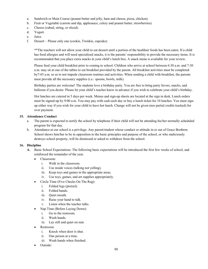- a. Sandwich or Main Course (peanut butter and jelly, ham and cheese, pizza, chicken).
- b. Fruit or Vegetable (carrots and dip, applesauce, celery and peanut butter, strawberries).
- c. Cheese (cubed, string, or sliced).
- d. Yogurt.
- e. Juice.
- f. Dessert Please only one (cookie, Twinkie, cupcake).

 \*\*The teachers will not allow your child to eat dessert until a portion of the healthier foods has been eaten. If a child has food allergies and will need specialized snacks, it is the parents' responsibility to provide the necessary items. It is recommended that you place extra snacks in your child's lunch box. A snack menu is available for your review.

 Please feed your child breakfast prior to coming to school. Children who arrive at school between 6:30 a.m. and 7:30 a.m. may sit at one of the tables to eat breakfast provided by the parent. All breakfast activities must be completed by7:45 a.m. so as to not impede classroom routines and activities. When sending a child with breakfast, the parents must provide all the necessary supplies (i.e.: spoons, bowls, milk).

 Birthday parties are welcome! The students love a birthday party. You are free to bring party favors, snacks, and balloons if you desire. Please let your child's teacher know in advance if you wish to celebrate your child's birthday.

 Hot lunches are catered in 5 days per week. Menus and sign-up sheets are located at the sign in desk. Lunch orders must be signed-up by 9:00 a.m. You may pay with cash each day or buy a lunch ticket for 10 lunches. You must sign up either way if you wish for your child to have hot lunch. Change will not be given (nor partial credits tracked) for over payment.

#### 15. Attendance Conduct

- a. The parent is expected to notify the school by telephone if their child will not be attending his/her normally scheduled program for that day.
- b. Attendance at our school is a privilege. Any parent/student whose conduct or attitude in or out of Grace Brethren School shows him/her to be in opposition to the basic principles and purpose of the school, or who maliciously destroys school property, will be dismissed or asked to withdraw from the school.

#### 16. Discipline

- A. Basic School Expectations: The following basic expectations will be introduced the first few weeks of school, and reinforced the remainder of the year.
	- Classroom:
		- i. Walk in the classroom.
		- ii. Use inside voices (talking not yelling).
		- iii. Keep toys and games in the appropriate areas.
		- iv. Use toys, games, and art supplies appropriately.
	- Circle Time (Five Checks On The Rug):
		- i. Folded legs (pretzel).
		- ii. Folded hands.
		- iii. Quiet mouth.
		- iv. Raise your hand to talk.
		- v. Listen when the teacher talks.
	- Nap Time (Before Laying Down):
		- i. Go to the restroom.
		- ii. Wash hands.
		- iii. Lay still and quiet on mat.
	- Restroom:
		- i. Knock when door is shut.
		- ii. One person at a time.
		- iii. Wash hands when finished.
	- Outside: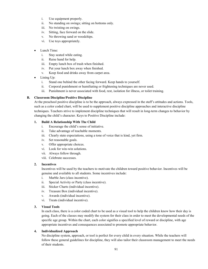- i. Use equipment properly.
- ii. No standing on swings; sitting on bottoms only.
- iii. No twisting on swings.
- iv. Sitting, face forward on the slide.
- v. No throwing sand or woodchips.
- vi. Use toys appropriately.
- Lunch Time:
	- i. Stay seated while eating.
	- ii. Raise hand for help.
	- iii. Empty lunch box of trash when finished.
	- iv. Put your lunch box away when finished.
	- v. Keep food and drinks away from carpet area.
- Lining Up:
	- i. Stand one behind the other facing forward. Keep hands to yourself.
	- ii. Corporal punishment or humiliating or frightening techniques are never used.
	- iii. Punishment is never associated with food, rest, isolation for illness, or toilet training.

#### B. Classroom Discipline/Positive Discipline

 At the preschool positive discipline is to be the approach, always expressed in the staff's attitudes and actions. Tools, such as a color coded chart, will be used to supplement positive discipline approaches and interactive discipline techniques. Teachers strive to implement discipline techniques that will result in long-term changes to behavior by changing the child's character. Keys to Positive Discipline include:

#### 1. Build A Relationship With The Child

- i. Encourage the child's sense of initiative.
- ii. Take advantage of teachable moments.
- iii. Clearly state expectations, using a tone of voice that is kind, yet firm.
- iv. Set reasonable goals.
- v. Offer appropriate choices.
- vi. Look for win-win solutions.
- vii. Always follow through.
- viii. Celebrate successes.

#### 2. Incentives

 Incentives will be used by the teachers to motivate the children toward positive behavior. Incentives will be genuine and available to all students. Some incentives include:

- i. Marble Jars (class incentive).
- ii. Special Activity or Party (class incentive).
- iii. Sticker Charts (individual incentive).
- iv. Treasure Box (individual incentive).
- v. Awards (individual incentive).
- vi. Treats (individual incentive).

#### 3. Visual Tools

 In each class, there is a color coded chart to be used as a visual tool to help the children know how their day is going. Each of the classes may modify the system for their class in order to meet the developmental needs of the specific age group. Within the chart, each color signifies a specified level of reward or discipline, with age appropriate incentives and consequences associated to promote appropriate behavior.

#### 4. Individualized Approach

 No discipline system, approach, or tool is perfect for every child in every situation. While the teachers will follow these general guidelines for discipline, they will also tailor their classroom management to meet the needs of their students.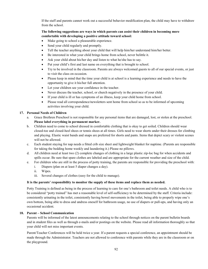If the staff and parents cannot work out a successful behavior modification plan, the child may have to withdraw from the school.

#### The following suggestions are ways in which parents can assist their children in becoming more comfortable with developing a positive attitude toward school:

- Make going to school a pleasurable experience.
- Send your child regularly and promptly.
- Tell the teacher anything about your child that will help him/her understand him/her better.
- Be interested in what your child brings home from school, never belittle it.
- Ask your child about his/her day and listen to what he/she has to say.
- Put your child's first and last name on everything that is brought to school.
- Try to be involved in the classroom. Parents are always welcomed guests to all of our special events, or just to visit the class on occasion.
- Please keep in mind that the time your child is at school is a learning experience and needs to have the opportunity to give it his/her full attention.
- Let your children see your confidence in the teacher.
- Never discuss the teacher, school, or church negatively in the presence of your child.
- If your child is ill or has symptoms of an illness, keep your child home from school.
- Please read all correspondence/newsletters sent home from school so as to be informed of upcoming activities involving your child.

#### 17. Personal Needs of Children

- a. Grace Brethren Preschool is not responsible for any personal items that are damaged, lost, or stolen at the preschool. Please label everything in permanent marker.
- b. Children need to come to school dressed in comfortable clothing that is okay to get soiled. Children should wear closed-toe and closed-heel shoes or tennis shoes at all times. Girls need to wear shorts under their dresses for climbing and playing. Elastic waist bands and snaps are preferred for shorts and pants. Items that depict scary or violent scenes will not be allowed.
- c. Each student staying for nap needs a fitted crib size sheet and lightweight blanket for naptime. (Parents are responsible for taking the bedding home weekly and laundering it.) Please no pillows.
- d. All children need at least two (2) complete changes of clothing in a large plastic zip-loc bag for when accidents and spills occur. Be sure that spare clothes are labeled and are appropriate for the current weather and size of the child.
- e. For children who are still in the process of potty training, the parents are responsible for providing the preschool with:
	- i. Diapers (plan on at least 5 diaper changes a day).
	- ii. Wipes.
	- iii. Several changes of clothes (easy for the child to manage).

#### It is the parents' responsibility to monitor the supply of these items and replace them as needed.

 Potty Training is defined as being in the process of learning to care for one's bathroom and toilet needs. A child who is to be considered "potty trained" has met a reasonable level of self-sufficiency to be determined by the staff. Criteria include: consistently urinating in the toilet, consistently having bowel movements in the toilet, being able to properly wipe one's own bottom, being able to dress and undress oneself for bathroom usage, no use of diapers or pull-ups, and having only an occasional accident.

#### 18. Parent – School Communication

 Parents will be informed of the latest announcements relating to the school through notices on the parent bulletin boards and in student files as well as through e-mails and/or postings on the website. Please read all information thoroughly so that your child will not miss important events.

 Parent/Teacher Conferences will be held twice a year. If a parent requests a special conference, an appointment should be made through the Administrator. Teachers are not allowed to conference with parents while they are in the classroom or on the playground.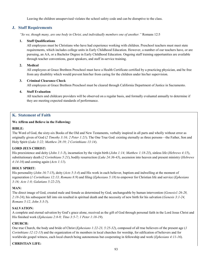Leaving the children unsupervised violates the school safety code and can be disruptive to the class.

# J. Staff Requirements

"So we, though many, are one body in Christ, and individually members one of another." Romans 12:5

#### 1. Staff Qualifications

 All employees must be Christians who have had experience working with children. Preschool teachers must meet state requirements, which includes college units in Early Childhood Education. However, a number of our teachers have, or are pursuing, an AA, or a Bachelor Degree in Early Childhood Education. Ongoing staff training opportunities are available through teacher conventions, guest speakers, and staff in-service training.

#### 2. Medical

 All employees at Grace Brethren Preschool must have a Health Certificate certified by a practicing physician, and be free from any disability which would prevent him/her from caring for the children under his/her supervision.

#### 3. Criminal Clearance Check

All employees at Grace Brethren Preschool must be cleared through California Department of Justice in Sacramento.

#### 4. Staff Evaluation

 All teachers and childcare providers will be observed on a regular basis, and formally evaluated annually to determine if they are meeting expected standards of performance.

# K. Statement of Faith

#### We Affirm and Believe in the Following:

### BIBLE:

The Word of God, the sixty-six Books of the Old and New Testaments, verbally inspired in all parts and wholly without error as originally given of God (2 Timothy 3:16; 2 Peter 1:21). The One True God: existing eternally as three persons—the Father, Son and Holy Spirit (Luke 3:22; Matthew 28:19; 2 Corinthians 13:14).

### LORD JEUS CHRIST:

His preexistence and deity (*John 1:1-3*), incarnation by the virgin birth (*John 1:14; Matthew 1:18-23*), sinless life (*Hebrews 4:15*), substitutionary death (2 Corinthians 5:21), bodily resurrection (Luke 24:36-43), ascension into heaven and present ministry (Hebrews 4:14-16) and coming again  $(Acts 1:11)$ .

### HOLY SPIRIT:

His personality (*John 16:7-15*), deity (*Acts 5:3-4*) and His work in each believer, baptism and indwelling at the moment of regeneration (1 Corinthians 12:13; Romans 8:9) and filing (Ephesians 5:18) to empower for Christian life and service (Ephesians 3:16; Acts 1:8; Galatians 5:22-23).

### MAN:

The direct image of God, created male and female as determined by God, unchangeable by human intervention (Genesis1:26-28,  $2:18-24$ ); his subsequent fall into sin resulted in spiritual death and the necessity of new birth for his salvation (*Genesis*  $3:1-24$ , Romans 5:12, John 3:3-5).

### SALVATION:

A complete and eternal salvation by God's grace alone, received as the gift of God through personal faith in the Lord Jesus Christ and His finished work (Ephesians 2:8-9; Titus 3:5-7; 1 Peter 1:18-19).

### CHURCH:

One true Church, the body and bride of Christ (*Ephesians 1:22-23, 5:25-32*), composed of all true believers of the present age (*1* Corinthians 12:12-13) and the organization of its members in local churches for worship, for edification of believers and for worldwide gospel witness, each local church being autonomous but cooperating in fellowship and work (Ephesians 4:11-16).

### CHRISTIAN LIFE: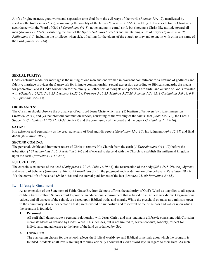A life of righteousness, good works and separation unto God from the evil ways of the world (Romans 12:1- 2), manifested by speaking the truth (James 5:12), maintaining the sanctity of the home (Ephesians 5:22-6:4), settling differences between Christians in accordance with the Word of God (1 Corinthians 6:1-8), not engaging in carnal strife but showing a Christ-like attitude toward all men (Romans 12:17-21), exhibiting the fruit of the Spirit (Galatians 5:22-23) and maintaining a life of prayer (Ephesians 6:18; *Philippians 4:6*), including the privilege, when sick, of calling for the elders of the church to pray and to anoint with oil in the name of the Lord (James  $5:13-18$ ).

#### SEXUAL PURITY:

God's exclusive model for marriage is the uniting of one man and one woman in covenant commitment for a lifetime of godliness and fidelity; marriage provides the framework for intimate companionship, sexual expression according to Biblical standards, the means for procreation, and is God's foundation for the family; all other sexual thoughts and practices are sinful and outside of God's revealed will. (Genesis 1:27,28, 2:18-25, Leviticus 18:22-24, Proverbs 5:15-23, Matthew 5:27,28, Romans 1:24-32, 1 Corinthians 5:9-13, 6:9- 11, Ephesians 5:22-33).

#### ORDINANCES:

The Christian should observe the ordinances of our Lord Jesus Christ which are: (1) baptism of believers by triune immersion (Matthew 28:19) and (2) the threefold communion service, consisting of the washing of the saints' feet (John 13:1-17), the Lord's Supper (1 Corinthians 11:20-22, 33-34; Jude 12) and the communion of the bread and the cup (1 Corinthians 11:23-26).

#### SATAN:

His existence and personality as the great adversary of God and His people (*Revelation 12:1-10*), his judgment (*John 12:31*) and final doom (Revelation 20:10).

#### SECOND COMING:

The personal, visible and imminent return of Christ to remove His Church from the earth (1 Thessalonians 4:16- 17) before the tribulation (1 Thessalonians 1:10; Revelation 3:10) and afterward to descend with the Church to establish His millennial kingdom upon the earth (Revelation 19:11-20:6).

### FUTURE LIFE:

The conscious existence of the dead (*Philippians 1:21-23; Luke 16:19-31*), the resurrection of the body (*John 5:28-29*), the judgment and reward of believers (Romans 14:10-12; 2 Corinthians 5:10), the judgment and condemnation of unbelievers (Revelation 20:11-15), the eternal life of the saved (John 3:16) and the eternal punishment of the lost (Matthew 25:46; Revelation 20:15).

# L. Lifestyle Statement

 As an extension of the Statement of Faith, Grace Brethren Schools affirms the authority of God's Word as it applies to all aspects of life. Grace Brethren Schools exist to provide an educational environment that is based on a Biblical worldview. Organizational values, and all aspects of the school, are based upon Biblical truths and morals. While the preschool operates as a ministry open to the community, it is our expectation that parents would be supportive and respectful of the principals and values upon which the program is founded.

#### 1. Personnel

 All staff shall demonstrate a personal relationship with Jesus Christ, and must maintain a lifestyle consistent with Christian moral standards as defined by God's Word. This includes, but is not limited to, sexual conduct, sobriety, respect for individuals, and adherence to the laws of the land as ordained by God.

#### 2. Curriculum

 The curriculum chosen for the school reflects the Biblical worldview and Biblical principals upon which the program is founded. Students at all levels are taught to think critically about what God's Word says in regard to their lives. As such,